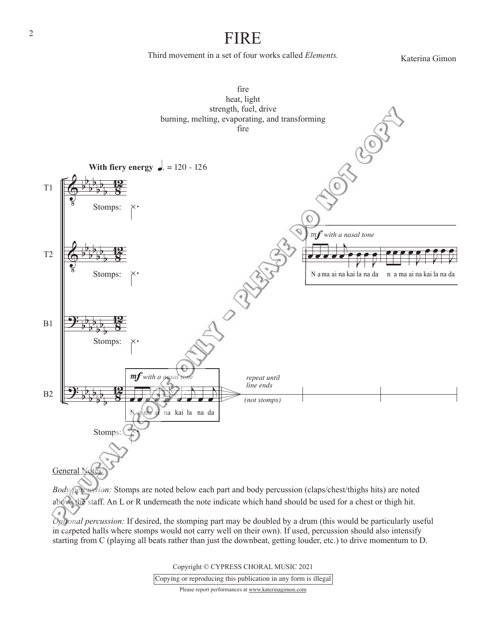## FIRE

Third movement in a set of four works called *Elements.*

Katerina Gimon



Copyright © CYPRESS CHORAL MUSIC 2021

Copying or reproducing this publication in any form is illegal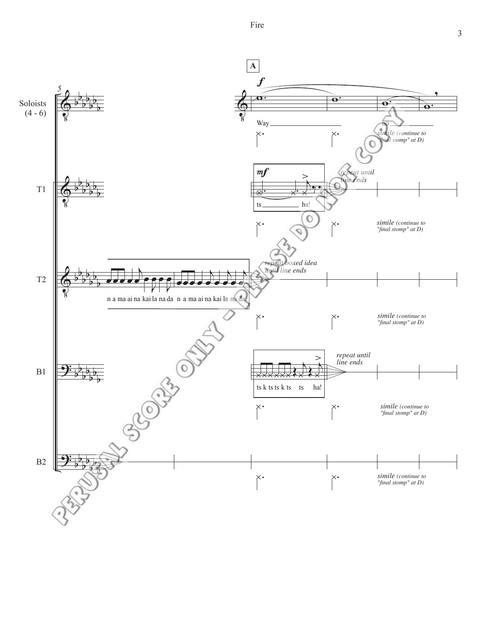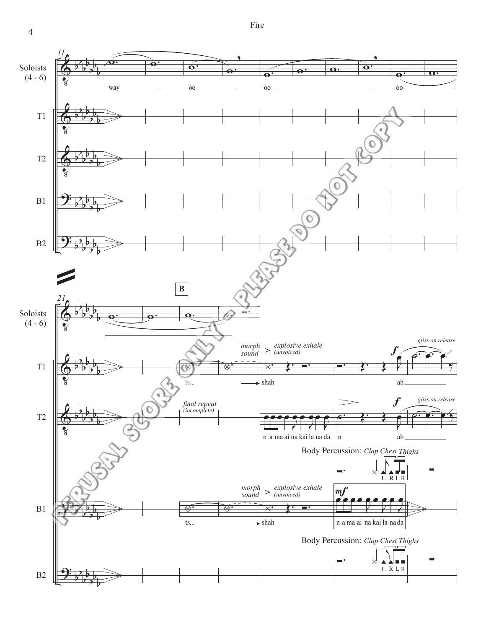Fire

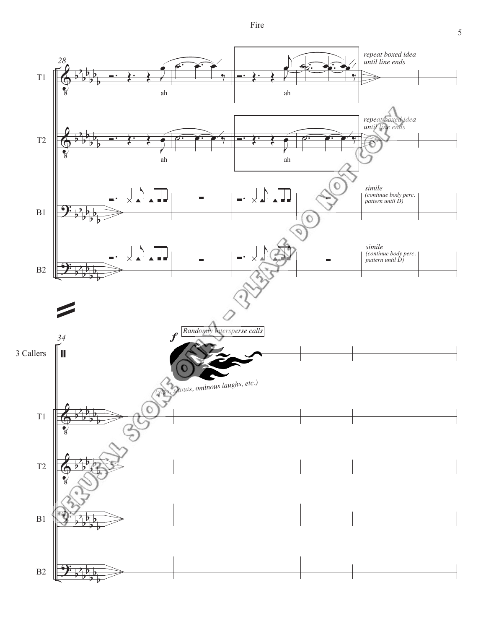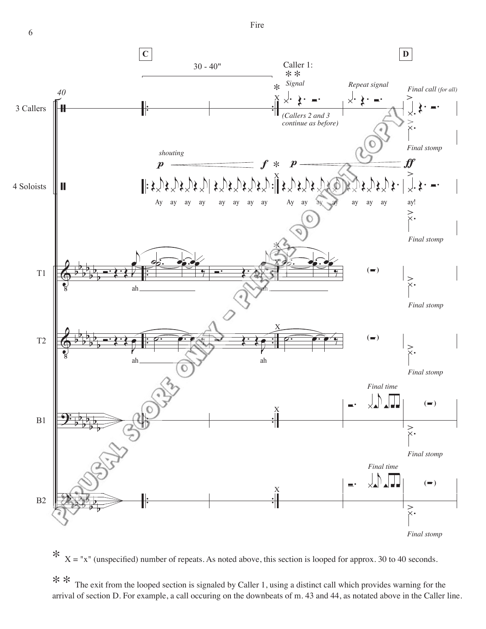Fire





\*\* The exit from the looped section is signaled by Caller 1, using a distinct call which provides warning for the arrival of section D. For example, a call occuring on the downbeats of m. 43 and 44, as notated above in the Caller line.